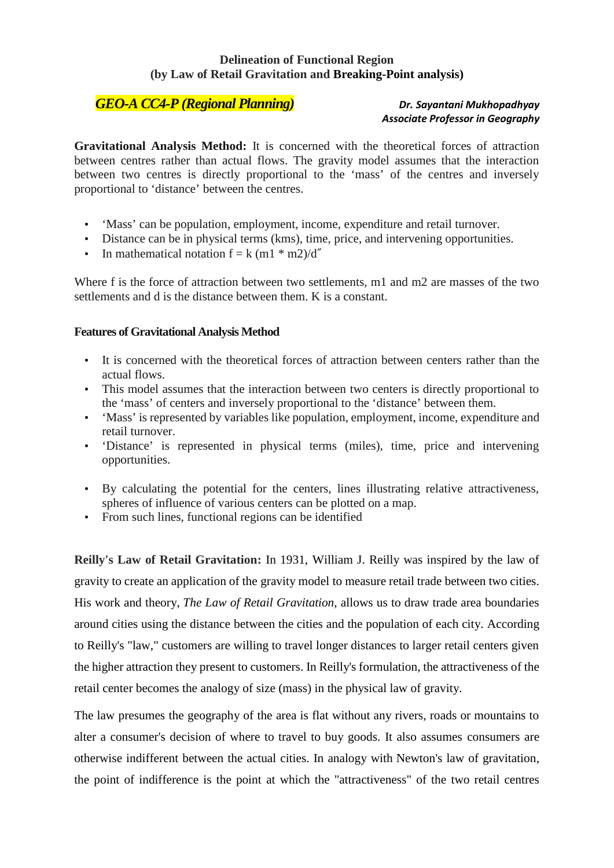## **Delineation of Functional Region (by Law of Retail Gravitation and Breaking-Point analysis)**

## *GEO-A CC4-P (Regional Planning) Dr. Sayantani Mukhopadhyay*

## *Associate Professor in Geography*

**Gravitational Analysis Method:** It is concerned with the theoretical forces of attraction between centres rather than actual flows. The gravity model assumes that the interaction between two centres is directly proportional to the 'mass' of the centres and inversely proportional to 'distance' between the centres.

- 'Mass' can be population, employment, income, expenditure and retail turnover.
- Distance can be in physical terms (kms), time, price, and intervening opportunities.
- In mathematical notation  $f = k (m1 * m2)/d''$

Where f is the force of attraction between two settlements, m1 and m2 are masses of the two settlements and d is the distance between them. K is a constant.

## **Features of Gravitational Analysis Method**

- It is concerned with the theoretical forces of attraction between centers rather than the actual flows.
- This model assumes that the interaction between two centers is directly proportional to the 'mass' of centers and inversely proportional to the 'distance' between them.
- 'Mass' is represented by variables like population, employment, income, expenditure and retail turnover.
- 'Distance' is represented in physical terms (miles), time, price and intervening opportunities.
- By calculating the potential for the centers, lines illustrating relative attractiveness, spheres of influence of various centers can be plotted on a map.
- From such lines, functional regions can be identified

**Reilly's Law of Retail Gravitation:** In 1931, William J. Reilly was inspired by the law of gravity to create an application of the gravity model to measure retail trade between two cities. His work and theory, *The Law of Retail Gravitation*, allows us to draw trade area boundaries around cities using the distance between the cities and the population of each city. According to Reilly's "law," customers are willing to travel longer distances to larger retail centers given the higher attraction they present to customers. In Reilly's formulation, the attractiveness of the retail center becomes the analogy of size (mass) in the physical law of gravity.

The law presumes the geography of the area is flat without any rivers, roads or mountains to alter a consumer's decision of where to travel to buy goods. It also assumes consumers are otherwise indifferent between the actual cities. In analogy with Newton's law of gravitation, the point of indifference is the point at which the "attractiveness" of the two retail centres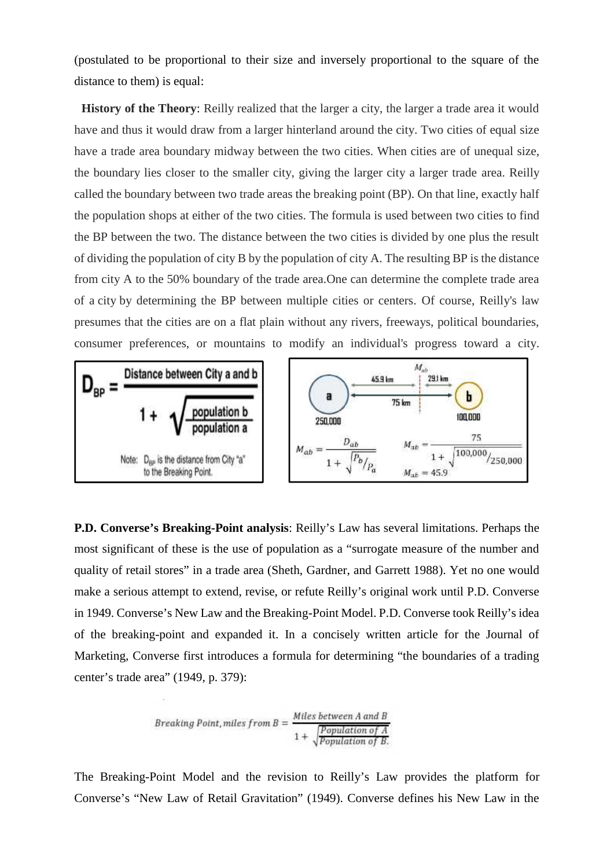(postulated to be proportional to their size and inversely proportional to the square of the distance to them) is equal:

**History of the Theory**: Reilly realized that the larger a city, the larger a trade area it would have and thus it would draw from a larger hinterland around the city. Two cities of equal size have a trade area boundary midway between the two cities. When cities are of unequal size, the boundary lies closer to the smaller city, giving the larger city a larger trade area. Reilly called the boundary between two trade areas the breaking point (BP). On that line, exactly half the population shops at either of the two cities. The formula is used between two cities to find the BP between the two. The distance between the two cities is divided by one plus the result of dividing the population of city B by the population of city A. The resulting BP is the distance from city A to the 50% boundary of the trade area.One can determine the complete trade area of a city by determining the BP between multiple cities or centers. Of course, Reilly's law presumes that the cities are on a flat plain without any rivers, freeways, political boundaries, consumer preferences, or mountains to modify an individual's progress toward a city.



**P.D. Converse's Breaking-Point analysis**: Reilly's Law has several limitations. Perhaps the most significant of these is the use of population as a "surrogate measure of the number and quality of retail stores" in a trade area (Sheth, Gardner, and Garrett 1988). Yet no one would make a serious attempt to extend, revise, or refute Reilly's original work until P.D. Converse in 1949. Converse's New Law and the Breaking-Point Model. P.D. Converse took Reilly's idea of the breaking-point and expanded it. In a concisely written article for the Journal of Marketing, Converse first introduces a formula for determining "the boundaries of a trading center's trade area" (1949, p. 379):

Breaking Point, miles from B =

\n
$$
\frac{Miles between A and B}{1 + \sqrt{Population of A}}
$$
\n
$$
\frac{Population of A}{Population of B.}
$$

The Breaking-Point Model and the revision to Reilly's Law provides the platform for Converse's "New Law of Retail Gravitation" (1949). Converse defines his New Law in the